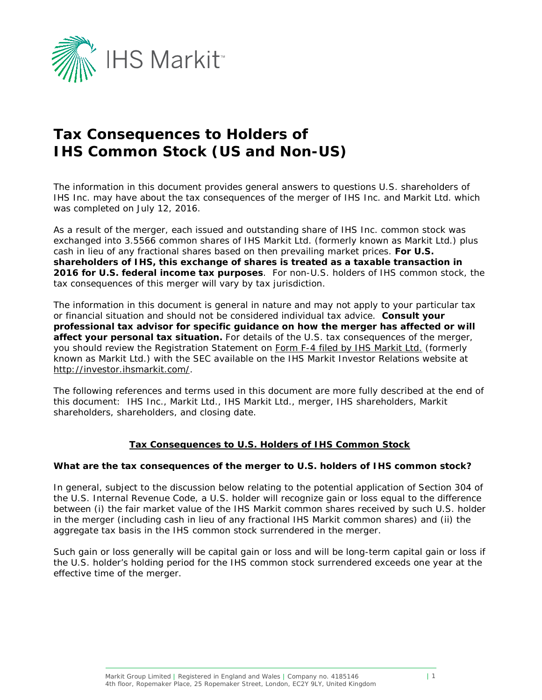

# **Tax Consequences to Holders of IHS Common Stock (US and Non-US)**

The information in this document provides general answers to questions U.S. shareholders of IHS Inc. may have about the tax consequences of the merger of IHS Inc. and Markit Ltd. which was completed on July 12, 2016.

As a result of the merger, each issued and outstanding share of IHS Inc. common stock was exchanged into 3.5566 common shares of IHS Markit Ltd. (formerly known as Markit Ltd.) plus cash in lieu of any fractional shares based on then prevailing market prices. **For U.S. shareholders of IHS, this exchange of shares is treated as a taxable transaction in 2016 for U.S. federal income tax purposes**. For non-U.S. holders of IHS common stock, the tax consequences of this merger will vary by tax jurisdiction.

The information in this document is general in nature and may not apply to your particular tax or financial situation and should not be considered individual tax advice. **Consult your professional tax advisor for specific guidance on how the merger has affected or will affect your personal tax situation.** For details of the U.S. tax consequences of the merger, you should review the Registration Statement on [Form F-4 filed by IHS Markit Ltd.](http://investor.ihsmarkit.com/phoenix.zhtml?c=188457&p=irol-ihsfinancial) (formerly known as Markit Ltd.) with the SEC available on the IHS Markit Investor Relations website at [http://investor.ihsmarkit.com/.](http://investor.ihsmarkit.com/)

The following references and terms used in this document are more fully described at the end of this document: IHS Inc., Markit Ltd., IHS Markit Ltd., merger, IHS shareholders, Markit shareholders, shareholders, and closing date.

# **Tax Consequences to U.S. Holders of IHS Common Stock**

#### **What are the tax consequences of the merger to U.S. holders of IHS common stock?**

In general, subject to the discussion below relating to the potential application of Section 304 of the U.S. Internal Revenue Code, a U.S. holder will recognize gain or loss equal to the difference between (i) the fair market value of the IHS Markit common shares received by such U.S. holder in the merger (including cash in lieu of any fractional IHS Markit common shares) and (ii) the aggregate tax basis in the IHS common stock surrendered in the merger.

Such gain or loss generally will be capital gain or loss and will be long-term capital gain or loss if the U.S. holder's holding period for the IHS common stock surrendered exceeds one year at the effective time of the merger.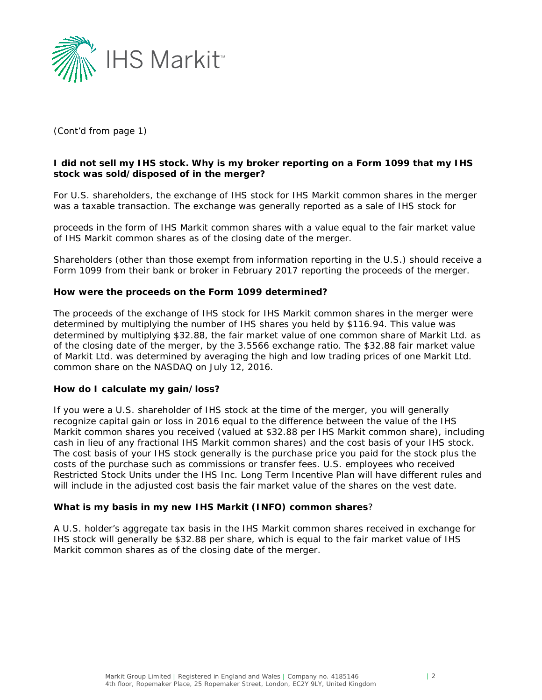

# *(Cont'd from page 1)*

#### **I did not sell my IHS stock. Why is my broker reporting on a Form 1099 that my IHS stock was sold/disposed of in the merger?**

For U.S. shareholders, the exchange of IHS stock for IHS Markit common shares in the merger was a taxable transaction. The exchange was generally reported as a sale of IHS stock for

proceeds in the form of IHS Markit common shares with a value equal to the fair market value of IHS Markit common shares as of the closing date of the merger.

Shareholders (other than those exempt from information reporting in the U.S.) should receive a Form 1099 from their bank or broker in February 2017 reporting the proceeds of the merger.

#### **How were the proceeds on the Form 1099 determined?**

The proceeds of the exchange of IHS stock for IHS Markit common shares in the merger were determined by multiplying the number of IHS shares you held by \$116.94. This value was determined by multiplying \$32.88, the fair market value of one common share of Markit Ltd. as of the closing date of the merger, by the 3.5566 exchange ratio. The \$32.88 fair market value of Markit Ltd. was determined by averaging the high and low trading prices of one Markit Ltd. common share on the NASDAQ on July 12, 2016.

#### **How do I calculate my gain/loss?**

If you were a U.S. shareholder of IHS stock at the time of the merger, you will generally recognize capital gain or loss in 2016 equal to the difference between the value of the IHS Markit common shares you received (valued at \$32.88 per IHS Markit common share), including cash in lieu of any fractional IHS Markit common shares) and the cost basis of your IHS stock. The cost basis of your IHS stock generally is the purchase price you paid for the stock plus the costs of the purchase such as commissions or transfer fees. U.S. employees who received Restricted Stock Units under the IHS Inc. Long Term Incentive Plan will have different rules and will include in the adjusted cost basis the fair market value of the shares on the vest date.

#### **What is my basis in my new IHS Markit (INFO) common shares**?

A U.S. holder's aggregate tax basis in the IHS Markit common shares received in exchange for IHS stock will generally be \$32.88 per share, which is equal to the fair market value of IHS Markit common shares as of the closing date of the merger.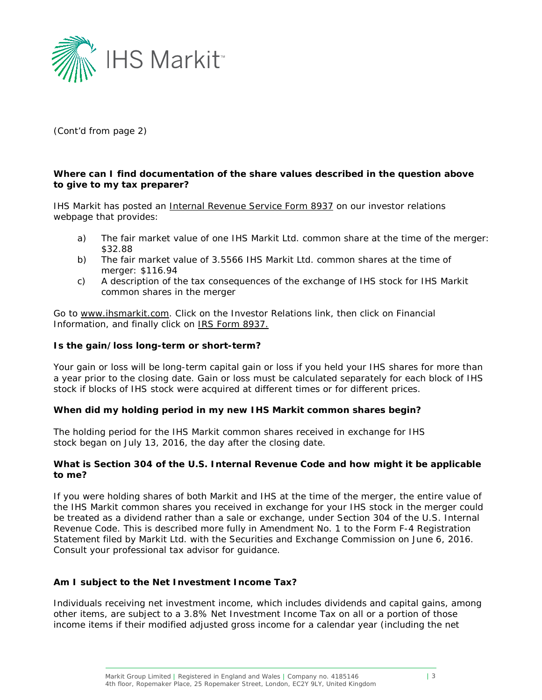

*(Cont'd from page 2)*

### **Where can I find documentation of the share values described in the question above to give to my tax preparer?**

IHS Markit has posted an *Internal Revenue Service Form 8937* on our investor relations webpage that provides:

- a) The fair market value of one IHS Markit Ltd. common share at the time of the merger: \$32.88
- b) The fair market value of 3.5566 IHS Markit Ltd. common shares at the time of merger: \$116.94
- c) A description of the tax consequences of the exchange of IHS stock for IHS Markit common shares in the merger

Go to [www.ihsmarkit.com.](http://www.ihsmarkit.com/) Click on the Investor Relations link, then click on Financial Information, and finally click on **IRS Form 8937.** 

#### **Is the gain/loss long-term or short-term?**

Your gain or loss will be long-term capital gain or loss if you held your IHS shares for more than a year prior to the closing date. Gain or loss must be calculated separately for each block of IHS stock if blocks of IHS stock were acquired at different times or for different prices.

#### **When did my holding period in my new IHS Markit common shares begin?**

The holding period for the IHS Markit common shares received in exchange for IHS stock began on July 13, 2016, the day after the closing date.

#### **What is Section 304 of the U.S. Internal Revenue Code and how might it be applicable to me?**

If you were holding shares of both Markit and IHS at the time of the merger, the entire value of the IHS Markit common shares you received in exchange for your IHS stock in the merger could be treated as a dividend rather than a sale or exchange, under Section 304 of the U.S. Internal Revenue Code. This is described more fully in Amendment No. 1 to the Form F-4 Registration Statement filed by Markit Ltd. with the Securities and Exchange Commission on June 6, 2016. Consult your professional tax advisor for guidance.

#### **Am I subject to the Net Investment Income Tax?**

Individuals receiving net investment income, which includes dividends and capital gains, among other items, are subject to a 3.8% Net Investment Income Tax on all or a portion of those income items if their modified adjusted gross income for a calendar year (including the net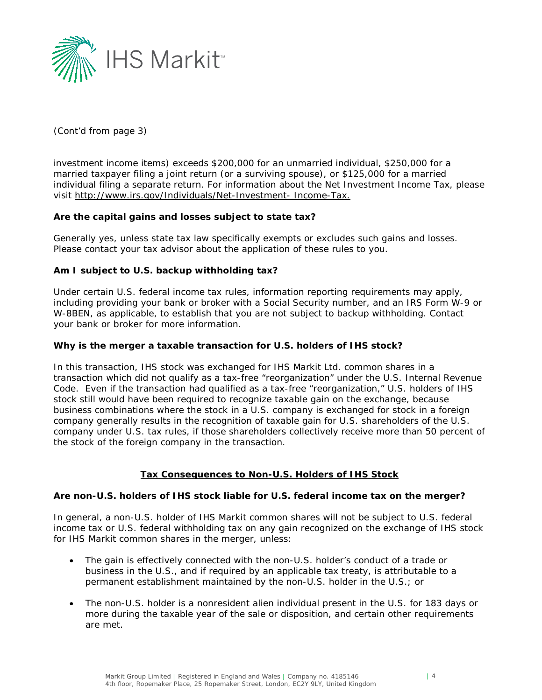

*(Cont'd from page 3)*

investment income items) exceeds \$200,000 for an unmarried individual, \$250,000 for a married taxpayer filing a joint return (or a surviving spouse), or \$125,000 for a married individual filing a separate return. For information about the Net Investment Income Tax, please visit [http://www.irs.gov/Individuals/Net-Investment-](http://www.irs.gov/Individuals/Net-Investment-%20Income-Tax) Income-Tax.

# **Are the capital gains and losses subject to state tax?**

Generally yes, unless state tax law specifically exempts or excludes such gains and losses. Please contact your tax advisor about the application of these rules to you.

# **Am I subject to U.S. backup withholding tax?**

Under certain U.S. federal income tax rules, information reporting requirements may apply, including providing your bank or broker with a Social Security number, and an IRS Form W-9 or W-8BEN, as applicable, to establish that you are not subject to backup withholding. Contact your bank or broker for more information.

#### **Why is the merger a taxable transaction for U.S. holders of IHS stock?**

In this transaction, IHS stock was exchanged for IHS Markit Ltd. common shares in a transaction which did not qualify as a tax-free "reorganization" under the U.S. Internal Revenue Code. Even if the transaction had qualified as a tax-free "reorganization," U.S. holders of IHS stock still would have been required to recognize taxable gain on the exchange, because business combinations where the stock in a U.S. company is exchanged for stock in a foreign company generally results in the recognition of taxable gain for U.S. shareholders of the U.S. company under U.S. tax rules, if those shareholders collectively receive more than 50 percent of the stock of the foreign company in the transaction.

#### **Tax Consequences to Non-U.S. Holders of IHS Stock**

#### **Are non-U.S. holders of IHS stock liable for U.S. federal income tax on the merger?**

In general, a non-U.S. holder of IHS Markit common shares will not be subject to U.S. federal income tax or U.S. federal withholding tax on any gain recognized on the exchange of IHS stock for IHS Markit common shares in the merger, unless:

- The gain is effectively connected with the non-U.S. holder's conduct of a trade or business in the U.S., and if required by an applicable tax treaty, is attributable to a permanent establishment maintained by the non-U.S. holder in the U.S.; or
- The non-U.S. holder is a nonresident alien individual present in the U.S. for 183 days or more during the taxable year of the sale or disposition, and certain other requirements are met.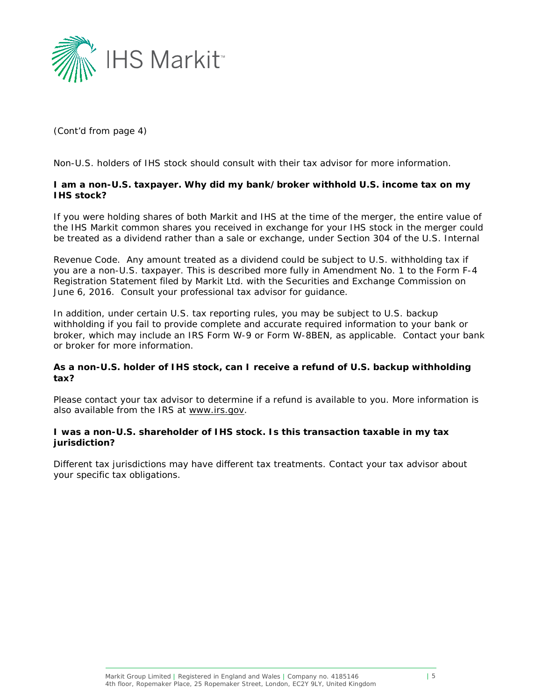

*(Cont'd from page 4)*

Non-U.S. holders of IHS stock should consult with their tax advisor for more information.

# **I am a non-U.S. taxpayer. Why did my bank/broker withhold U.S. income tax on my IHS stock?**

If you were holding shares of both Markit and IHS at the time of the merger, the entire value of the IHS Markit common shares you received in exchange for your IHS stock in the merger could be treated as a dividend rather than a sale or exchange, under Section 304 of the U.S. Internal

Revenue Code. Any amount treated as a dividend could be subject to U.S. withholding tax if you are a non-U.S. taxpayer. This is described more fully in Amendment No. 1 to the Form F-4 Registration Statement filed by Markit Ltd. with the Securities and Exchange Commission on June 6, 2016. Consult your professional tax advisor for guidance.

In addition, under certain U.S. tax reporting rules, you may be subject to U.S. backup withholding if you fail to provide complete and accurate required information to your bank or broker, which may include an IRS Form W-9 or Form W-8BEN, as applicable. Contact your bank or broker for more information.

# **As a non-U.S. holder of IHS stock, can I receive a refund of U.S. backup withholding tax?**

Please contact your tax advisor to determine if a refund is available to you. More information is also available from the IRS at [www.irs.gov.](http://www.irs.gov/)

#### **I was a non-U.S. shareholder of IHS stock. Is this transaction taxable in my tax jurisdiction?**

Different tax jurisdictions may have different tax treatments. Contact your tax advisor about your specific tax obligations.